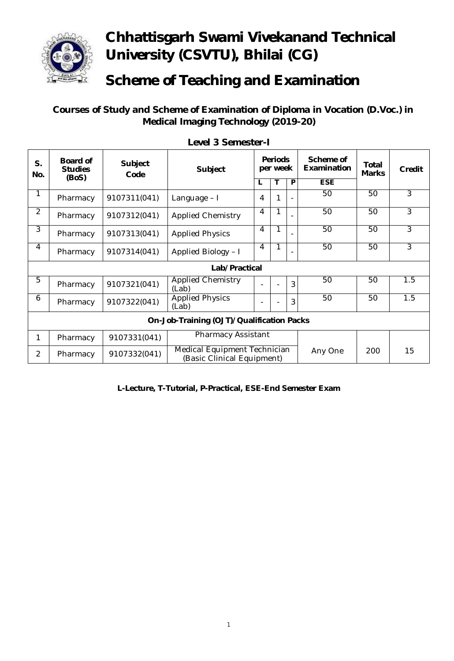

## **Chhattisgarh Swami Vivekanand Technical University (CSVTU), Bhilai (CG)**

## **Scheme of Teaching and Examination**

 **Courses of Study and Scheme of Examination of Diploma in Vocation (D.Voc.) in Medical Imaging Technology (2019-20)**

| S.<br>No.                                 | <b>Board of</b><br><b>Studies</b><br>(BoS) | <b>Subject</b><br>Code | <b>Subject</b>                                             | <b>Periods</b><br>per week |   |   | Scheme of<br>Examination | Total<br><b>Marks</b> | Credit         |  |
|-------------------------------------------|--------------------------------------------|------------------------|------------------------------------------------------------|----------------------------|---|---|--------------------------|-----------------------|----------------|--|
|                                           |                                            |                        |                                                            | L                          | Т | P | <b>ESE</b>               |                       |                |  |
| 1                                         | Pharmacy                                   | 9107311(041)           | Language - I                                               | $\overline{4}$             | 1 |   | 50                       | 50                    | $\overline{3}$ |  |
| $\overline{2}$                            | Pharmacy                                   | 9107312(041)           | <b>Applied Chemistry</b>                                   | 4                          | 1 |   | 50                       | 50                    | 3              |  |
| 3                                         | Pharmacy                                   | 9107313(041)           | <b>Applied Physics</b>                                     | 4                          | 1 |   | 50                       | 50                    | 3              |  |
| 4                                         | Pharmacy                                   | 9107314(041)           | Applied Biology - I                                        | 4                          | 1 |   | 50                       | 50                    | $\overline{3}$ |  |
| Lab/Practical                             |                                            |                        |                                                            |                            |   |   |                          |                       |                |  |
| 5                                         | Pharmacy                                   | 9107321(041)           | <b>Applied Chemistry</b><br>(Lab)                          |                            |   | 3 | 50                       | 50                    | 1.5            |  |
| 6                                         | Pharmacy                                   | 9107322(041)           | <b>Applied Physics</b><br>(Lab)                            |                            |   | 3 | 50                       | 50                    | 1.5            |  |
| On-Job-Training (OJT)/Qualification Packs |                                            |                        |                                                            |                            |   |   |                          |                       |                |  |
| 1                                         | Pharmacy                                   | 9107331(041)           | <b>Pharmacy Assistant</b>                                  |                            |   |   |                          |                       |                |  |
| $\overline{2}$                            | Pharmacy                                   | 9107332(041)           | Medical Equipment Technician<br>(Basic Clinical Equipment) |                            |   |   | Any One                  | 200                   | 15             |  |

**Level 3 Semester-I**

**L-Lecture, T-Tutorial, P-Practical, ESE-End Semester Exam**